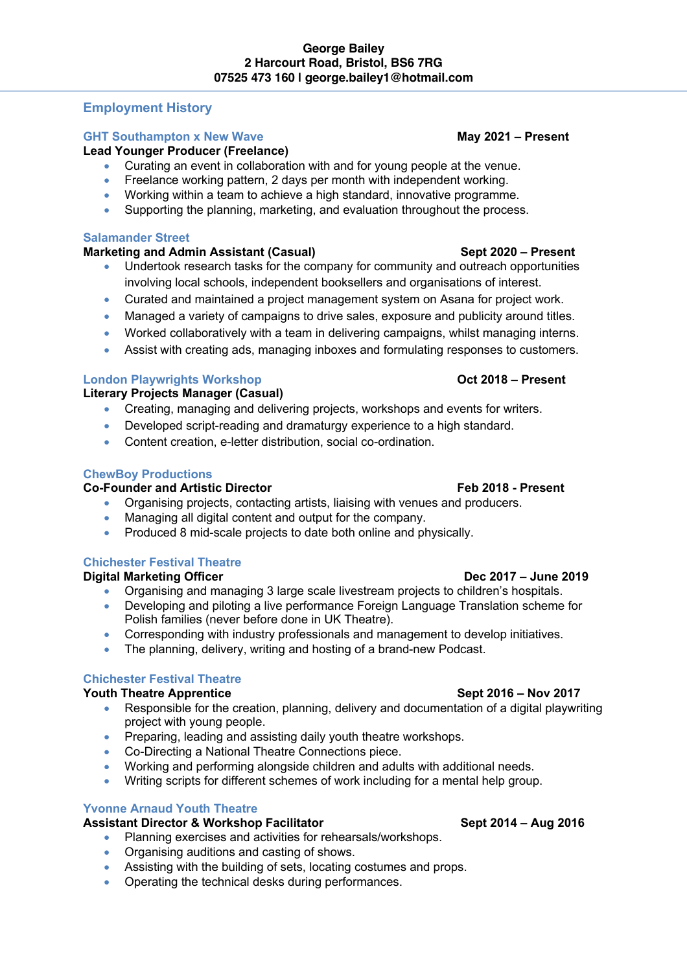# **Employment History**

## **GHT Southampton x New Wave May 2021 – Present**

### **Lead Younger Producer (Freelance)**

- Curating an event in collaboration with and for young people at the venue.
- Freelance working pattern, 2 days per month with independent working.
- Working within a team to achieve a high standard, innovative programme.
- Supporting the planning, marketing, and evaluation throughout the process.

### **Salamander Street**

### **Marketing and Admin Assistant (Casual) Sept 2020 – Present**

- Undertook research tasks for the company for community and outreach opportunities involving local schools, independent booksellers and organisations of interest.
- Curated and maintained a project management system on Asana for project work.
- Managed a variety of campaigns to drive sales, exposure and publicity around titles.
- Worked collaboratively with a team in delivering campaigns, whilst managing interns.
- Assist with creating ads, managing inboxes and formulating responses to customers.

### **London Playwrights Workshop Oct 2018 – Present**

**Literary Projects Manager (Casual)**

- Creating, managing and delivering projects, workshops and events for writers.
- Developed script-reading and dramaturgy experience to a high standard.
- Content creation, e-letter distribution, social co-ordination.

### **ChewBoy Productions**

## Co-Founder and Artistic Director **Feb 2018** - Present

- Organising projects, contacting artists, liaising with venues and producers.
- Managing all digital content and output for the company.
- Produced 8 mid-scale projects to date both online and physically.

## **Chichester Festival Theatre**

### **Digital Marketing Officer Dec 2017 – June 2019**

- Organising and managing 3 large scale livestream projects to children's hospitals.
- Developing and piloting a live performance Foreign Language Translation scheme for Polish families (never before done in UK Theatre).
- Corresponding with industry professionals and management to develop initiatives.
- The planning, delivery, writing and hosting of a brand-new Podcast.

### **Chichester Festival Theatre**

### **Youth Theatre Apprentice Sept 2016 – Nov 2017**

- Responsible for the creation, planning, delivery and documentation of a digital playwriting project with young people.
- Preparing, leading and assisting daily youth theatre workshops.
- Co-Directing a National Theatre Connections piece.
- Working and performing alongside children and adults with additional needs.
- Writing scripts for different schemes of work including for a mental help group.

### **Yvonne Arnaud Youth Theatre**

## **Assistant Director & Workshop Facilitator Sept 2014 – Aug 2016**

- Planning exercises and activities for rehearsals/workshops.
- Organising auditions and casting of shows.
- Assisting with the building of sets, locating costumes and props.
- Operating the technical desks during performances.